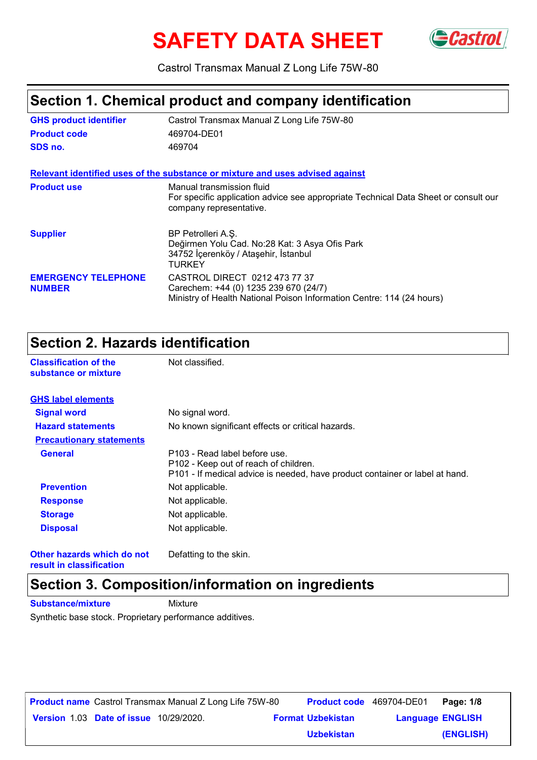# **SAFETY DATA SHEET** GCastrol



Castrol Transmax Manual Z Long Life 75W-80

# **Section 1. Chemical product and company identification**

| <b>GHS product identifier</b>               | Castrol Transmax Manual Z Long Life 75W-80                                                                                                      |
|---------------------------------------------|-------------------------------------------------------------------------------------------------------------------------------------------------|
| <b>Product code</b>                         | 469704-DE01                                                                                                                                     |
| SDS no.                                     | 469704                                                                                                                                          |
|                                             | Relevant identified uses of the substance or mixture and uses advised against                                                                   |
| <b>Product use</b>                          | Manual transmission fluid<br>For specific application advice see appropriate Technical Data Sheet or consult our<br>company representative.     |
| <b>Supplier</b>                             | BP Petrolleri A.Ş.<br>Değirmen Yolu Cad. No:28 Kat: 3 Asya Ofis Park<br>34752 İçerenköy / Ataşehir, İstanbul<br>TURKEY                          |
| <b>EMERGENCY TELEPHONE</b><br><b>NUMBER</b> | CASTROL DIRECT 0212 473 77 37<br>Carechem: +44 (0) 1235 239 670 (24/7)<br>Ministry of Health National Poison Information Centre: 114 (24 hours) |

### **Section 2. Hazards identification**

**Classification of the Mot classified.** 

| substance or mixture            |                                                                                                                                                        |
|---------------------------------|--------------------------------------------------------------------------------------------------------------------------------------------------------|
| <b>GHS label elements</b>       |                                                                                                                                                        |
| <b>Signal word</b>              | No signal word.                                                                                                                                        |
| <b>Hazard statements</b>        | No known significant effects or critical hazards.                                                                                                      |
| <b>Precautionary statements</b> |                                                                                                                                                        |
| <b>General</b>                  | P103 - Read label before use.<br>P102 - Keep out of reach of children.<br>P101 - If medical advice is needed, have product container or label at hand. |
| <b>Prevention</b>               | Not applicable.                                                                                                                                        |
| <b>Response</b>                 | Not applicable.                                                                                                                                        |
| <b>Storage</b>                  | Not applicable.                                                                                                                                        |
| <b>Disposal</b>                 | Not applicable.                                                                                                                                        |

**Other hazards which do not result in classification**

Defatting to the skin.

# **Section 3. Composition/information on ingredients**

**Substance/mixture Mixture** 

Synthetic base stock. Proprietary performance additives.

|                                               | <b>Product name</b> Castrol Transmax Manual Z Long Life 75W-80 |                          | <b>Product code</b> 469704-DE01 | Page: 1/8 |
|-----------------------------------------------|----------------------------------------------------------------|--------------------------|---------------------------------|-----------|
| <b>Version 1.03 Date of issue 10/29/2020.</b> |                                                                | <b>Format Uzbekistan</b> | <b>Language ENGLISH</b>         |           |
|                                               |                                                                | <b>Uzbekistan</b>        |                                 | (ENGLISH) |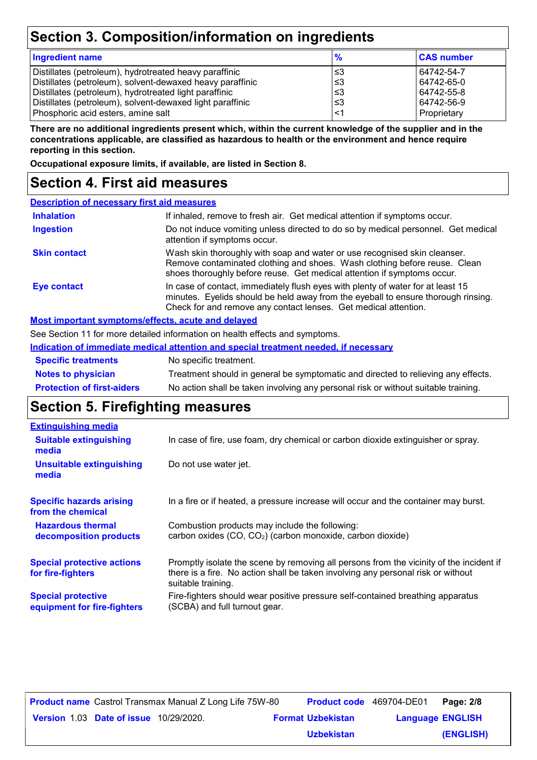# **Section 3. Composition/information on ingredients**

| <b>Ingredient name</b>                                                                                                                                                                                                                                                           | $\frac{9}{6}$                     | <b>CAS number</b>                                                   |
|----------------------------------------------------------------------------------------------------------------------------------------------------------------------------------------------------------------------------------------------------------------------------------|-----------------------------------|---------------------------------------------------------------------|
| Distillates (petroleum), hydrotreated heavy paraffinic<br>Distillates (petroleum), solvent-dewaxed heavy paraffinic<br>Distillates (petroleum), hydrotreated light paraffinic<br>Distillates (petroleum), solvent-dewaxed light paraffinic<br>Phosphoric acid esters, amine salt | צ≥<br>∖3≥ ا<br>՝≤3<br>∖3≥ ا<br>≤1 | 64742-54-7<br>64742-65-0<br>64742-55-8<br>64742-56-9<br>Proprietary |
|                                                                                                                                                                                                                                                                                  |                                   |                                                                     |

**There are no additional ingredients present which, within the current knowledge of the supplier and in the concentrations applicable, are classified as hazardous to health or the environment and hence require reporting in this section.**

**Occupational exposure limits, if available, are listed in Section 8.**

# **Section 4. First aid measures**

| <b>Description of necessary first aid measures</b> |                                                                                                                                                                                                                                         |  |  |  |
|----------------------------------------------------|-----------------------------------------------------------------------------------------------------------------------------------------------------------------------------------------------------------------------------------------|--|--|--|
| <b>Inhalation</b>                                  | If inhaled, remove to fresh air. Get medical attention if symptoms occur.                                                                                                                                                               |  |  |  |
| <b>Ingestion</b>                                   | Do not induce vomiting unless directed to do so by medical personnel. Get medical<br>attention if symptoms occur.                                                                                                                       |  |  |  |
| <b>Skin contact</b>                                | Wash skin thoroughly with soap and water or use recognised skin cleanser.<br>Remove contaminated clothing and shoes. Wash clothing before reuse. Clean<br>shoes thoroughly before reuse. Get medical attention if symptoms occur.       |  |  |  |
| Eye contact                                        | In case of contact, immediately flush eyes with plenty of water for at least 15<br>minutes. Eyelids should be held away from the eyeball to ensure thorough rinsing.<br>Check for and remove any contact lenses. Get medical attention. |  |  |  |

#### **Most important symptoms/effects, acute and delayed**

See Section 11 for more detailed information on health effects and symptoms.

|                                   | Indication of immediate medical attention and special treatment needed, if necessary |
|-----------------------------------|--------------------------------------------------------------------------------------|
| <b>Specific treatments</b>        | No specific treatment.                                                               |
| <b>Notes to physician</b>         | Treatment should in general be symptomatic and directed to relieving any effects.    |
| <b>Protection of first-aiders</b> | No action shall be taken involving any personal risk or without suitable training.   |

### **Section 5. Firefighting measures**

| In case of fire, use foam, dry chemical or carbon dioxide extinguisher or spray.                                                                                                                  |
|---------------------------------------------------------------------------------------------------------------------------------------------------------------------------------------------------|
| Do not use water jet.                                                                                                                                                                             |
| In a fire or if heated, a pressure increase will occur and the container may burst.                                                                                                               |
| Combustion products may include the following:<br>carbon oxides (CO, CO <sub>2</sub> ) (carbon monoxide, carbon dioxide)                                                                          |
| Promptly isolate the scene by removing all persons from the vicinity of the incident if<br>there is a fire. No action shall be taken involving any personal risk or without<br>suitable training. |
| Fire-fighters should wear positive pressure self-contained breathing apparatus<br>(SCBA) and full turnout gear.                                                                                   |
|                                                                                                                                                                                                   |

**Date of issue** 10/29/2020. **Version** 1.03 **Format Uzbekistan Language Product name** Castrol Transmax Manual Z Long Life 75W-80 **Product code** 469704-DE01 **Page: 2/8** | **Language ENGLISH (ENGLISH) Product code** 469704-DE01 Page: 2/8 **Uzbekistan**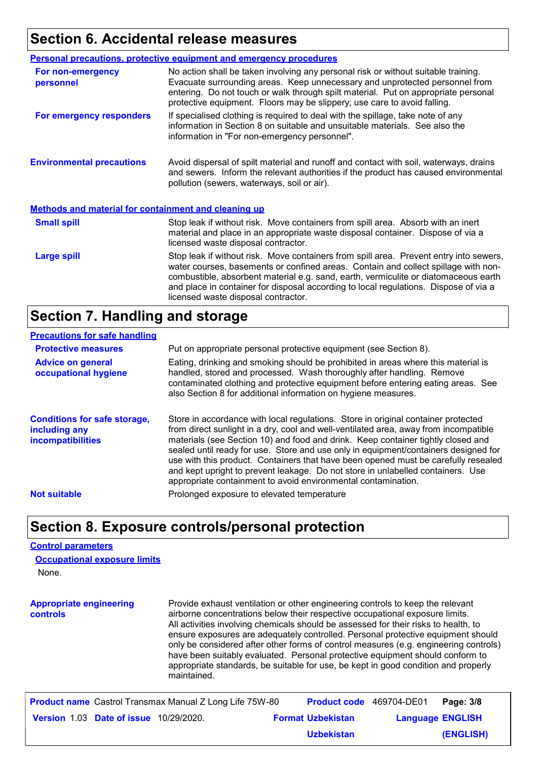# **Section 6. Accidental release measures**

|                                                             | <b>Personal precautions, protective equipment and emergency procedures</b>                                                                                                                                                                                                                                                                                                                         |
|-------------------------------------------------------------|----------------------------------------------------------------------------------------------------------------------------------------------------------------------------------------------------------------------------------------------------------------------------------------------------------------------------------------------------------------------------------------------------|
| For non-emergency<br>personnel                              | No action shall be taken involving any personal risk or without suitable training.<br>Evacuate surrounding areas. Keep unnecessary and unprotected personnel from<br>entering. Do not touch or walk through spilt material. Put on appropriate personal<br>protective equipment. Floors may be slippery; use care to avoid falling.                                                                |
| For emergency responders                                    | If specialised clothing is required to deal with the spillage, take note of any<br>information in Section 8 on suitable and unsuitable materials. See also the<br>information in "For non-emergency personnel".                                                                                                                                                                                    |
| <b>Environmental precautions</b>                            | Avoid dispersal of spilt material and runoff and contact with soil, waterways, drains<br>and sewers. Inform the relevant authorities if the product has caused environmental<br>pollution (sewers, waterways, soil or air).                                                                                                                                                                        |
| <b>Methods and material for containment and cleaning up</b> |                                                                                                                                                                                                                                                                                                                                                                                                    |
| <b>Small spill</b>                                          | Stop leak if without risk. Move containers from spill area. Absorb with an inert<br>material and place in an appropriate waste disposal container. Dispose of via a<br>licensed waste disposal contractor.                                                                                                                                                                                         |
| <b>Large spill</b>                                          | Stop leak if without risk. Move containers from spill area. Prevent entry into sewers,<br>water courses, basements or confined areas. Contain and collect spillage with non-<br>combustible, absorbent material e.g. sand, earth, vermiculite or diatomaceous earth<br>and place in container for disposal according to local regulations. Dispose of via a<br>licensed waste disposal contractor. |

### **Section 7. Handling and storage**

#### **Precautions for safe handling**

| <b>Protective measures</b>                                                | Put on appropriate personal protective equipment (see Section 8).                                                                                                                                                                                                                                                                                                                                                                                                                                                                                                                              |
|---------------------------------------------------------------------------|------------------------------------------------------------------------------------------------------------------------------------------------------------------------------------------------------------------------------------------------------------------------------------------------------------------------------------------------------------------------------------------------------------------------------------------------------------------------------------------------------------------------------------------------------------------------------------------------|
| <b>Advice on general</b><br>occupational hygiene                          | Eating, drinking and smoking should be prohibited in areas where this material is<br>handled, stored and processed. Wash thoroughly after handling. Remove<br>contaminated clothing and protective equipment before entering eating areas. See<br>also Section 8 for additional information on hygiene measures.                                                                                                                                                                                                                                                                               |
| <b>Conditions for safe storage,</b><br>including any<br>incompatibilities | Store in accordance with local regulations. Store in original container protected<br>from direct sunlight in a dry, cool and well-ventilated area, away from incompatible<br>materials (see Section 10) and food and drink. Keep container tightly closed and<br>sealed until ready for use. Store and use only in equipment/containers designed for<br>use with this product. Containers that have been opened must be carefully resealed<br>and kept upright to prevent leakage. Do not store in unlabelled containers. Use<br>appropriate containment to avoid environmental contamination. |
| <b>Not suitable</b>                                                       | Prolonged exposure to elevated temperature                                                                                                                                                                                                                                                                                                                                                                                                                                                                                                                                                     |

### **Section 8. Exposure controls/personal protection**

#### **Control parameters**

None. **Occupational exposure limits**

**Appropriate engineering controls** Provide exhaust ventilation or other engineering controls to keep the relevant airborne concentrations below their respective occupational exposure limits. All activities involving chemicals should be assessed for their risks to health, to ensure exposures are adequately controlled. Personal protective equipment should only be considered after other forms of control measures (e.g. engineering controls) have been suitably evaluated. Personal protective equipment should conform to appropriate standards, be suitable for use, be kept in good condition and properly maintained.

|                                               | <b>Product name</b> Castrol Transmax Manual Z Long Life 75W-80 | <b>Product code</b> 469704-DE01 |                         | Page: 3/8 |
|-----------------------------------------------|----------------------------------------------------------------|---------------------------------|-------------------------|-----------|
| <b>Version 1.03 Date of issue 10/29/2020.</b> |                                                                | <b>Format Uzbekistan</b>        | <b>Language ENGLISH</b> |           |
|                                               |                                                                | <b>Uzbekistan</b>               |                         | (ENGLISH) |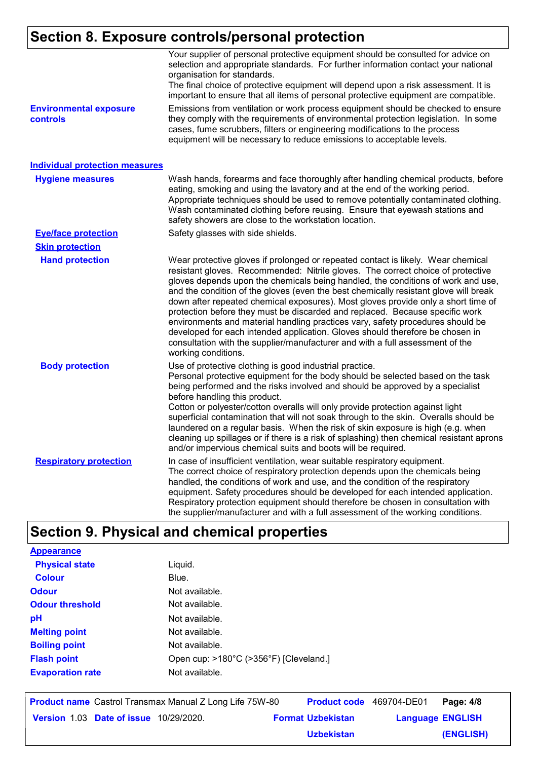# **Section 8. Exposure controls/personal protection**

|                                           | Your supplier of personal protective equipment should be consulted for advice on<br>selection and appropriate standards. For further information contact your national<br>organisation for standards.<br>The final choice of protective equipment will depend upon a risk assessment. It is<br>important to ensure that all items of personal protective equipment are compatible.                                                                                                                                                                                                                                                                                                                                                                                                              |
|-------------------------------------------|-------------------------------------------------------------------------------------------------------------------------------------------------------------------------------------------------------------------------------------------------------------------------------------------------------------------------------------------------------------------------------------------------------------------------------------------------------------------------------------------------------------------------------------------------------------------------------------------------------------------------------------------------------------------------------------------------------------------------------------------------------------------------------------------------|
| <b>Environmental exposure</b><br>controls | Emissions from ventilation or work process equipment should be checked to ensure<br>they comply with the requirements of environmental protection legislation. In some<br>cases, fume scrubbers, filters or engineering modifications to the process<br>equipment will be necessary to reduce emissions to acceptable levels.                                                                                                                                                                                                                                                                                                                                                                                                                                                                   |
| <b>Individual protection measures</b>     |                                                                                                                                                                                                                                                                                                                                                                                                                                                                                                                                                                                                                                                                                                                                                                                                 |
| <b>Hygiene measures</b>                   | Wash hands, forearms and face thoroughly after handling chemical products, before<br>eating, smoking and using the lavatory and at the end of the working period.<br>Appropriate techniques should be used to remove potentially contaminated clothing.<br>Wash contaminated clothing before reusing. Ensure that eyewash stations and<br>safety showers are close to the workstation location.                                                                                                                                                                                                                                                                                                                                                                                                 |
| <b>Eye/face protection</b>                | Safety glasses with side shields.                                                                                                                                                                                                                                                                                                                                                                                                                                                                                                                                                                                                                                                                                                                                                               |
| <b>Skin protection</b>                    |                                                                                                                                                                                                                                                                                                                                                                                                                                                                                                                                                                                                                                                                                                                                                                                                 |
| <b>Hand protection</b>                    | Wear protective gloves if prolonged or repeated contact is likely. Wear chemical<br>resistant gloves. Recommended: Nitrile gloves. The correct choice of protective<br>gloves depends upon the chemicals being handled, the conditions of work and use,<br>and the condition of the gloves (even the best chemically resistant glove will break<br>down after repeated chemical exposures). Most gloves provide only a short time of<br>protection before they must be discarded and replaced. Because specific work<br>environments and material handling practices vary, safety procedures should be<br>developed for each intended application. Gloves should therefore be chosen in<br>consultation with the supplier/manufacturer and with a full assessment of the<br>working conditions. |
| <b>Body protection</b>                    | Use of protective clothing is good industrial practice.<br>Personal protective equipment for the body should be selected based on the task<br>being performed and the risks involved and should be approved by a specialist<br>before handling this product.<br>Cotton or polyester/cotton overalls will only provide protection against light<br>superficial contamination that will not soak through to the skin. Overalls should be<br>laundered on a regular basis. When the risk of skin exposure is high (e.g. when<br>cleaning up spillages or if there is a risk of splashing) then chemical resistant aprons<br>and/or impervious chemical suits and boots will be required.                                                                                                           |
| <b>Respiratory protection</b>             | In case of insufficient ventilation, wear suitable respiratory equipment.<br>The correct choice of respiratory protection depends upon the chemicals being<br>handled, the conditions of work and use, and the condition of the respiratory<br>equipment. Safety procedures should be developed for each intended application.<br>Respiratory protection equipment should therefore be chosen in consultation with<br>the supplier/manufacturer and with a full assessment of the working conditions.                                                                                                                                                                                                                                                                                           |

# **Section 9. Physical and chemical properties**

| <b>Appearance</b>       |                                        |
|-------------------------|----------------------------------------|
| <b>Physical state</b>   | Liquid.                                |
| <b>Colour</b>           | Blue.                                  |
| <b>Odour</b>            | Not available.                         |
| <b>Odour threshold</b>  | Not available.                         |
| рH                      | Not available.                         |
| <b>Melting point</b>    | Not available.                         |
| <b>Boiling point</b>    | Not available.                         |
| <b>Flash point</b>      | Open cup: >180°C (>356°F) [Cleveland.] |
| <b>Evaporation rate</b> | Not available.                         |
|                         |                                        |

|                                               | <b>Product name</b> Castrol Transmax Manual Z Long Life 75W-80 | <b>Product code</b> 469704-DE01 |                         | Page: 4/8 |
|-----------------------------------------------|----------------------------------------------------------------|---------------------------------|-------------------------|-----------|
| <b>Version 1.03 Date of issue 10/29/2020.</b> |                                                                | <b>Format Uzbekistan</b>        | <b>Language ENGLISH</b> |           |
|                                               |                                                                | <b>Uzbekistan</b>               |                         | (ENGLISH) |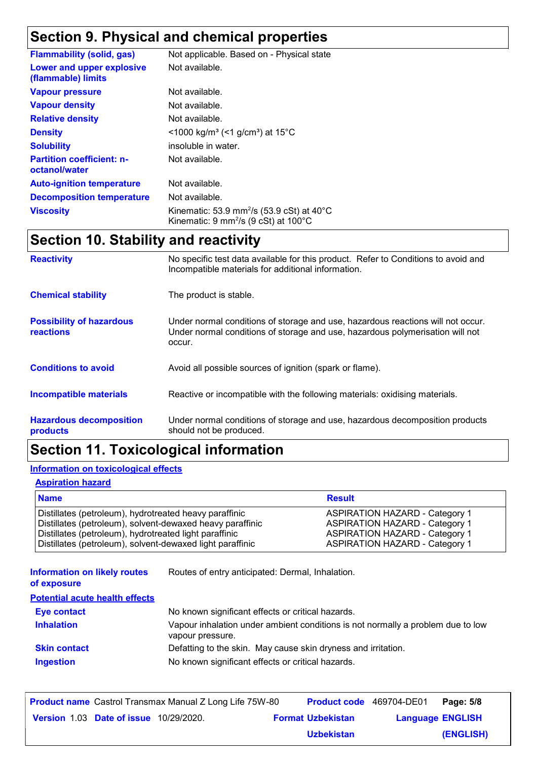# **Section 9. Physical and chemical properties**

| <b>Flammability (solid, gas)</b>                  | Not applicable. Based on - Physical state                                                                                                       |
|---------------------------------------------------|-------------------------------------------------------------------------------------------------------------------------------------------------|
| Lower and upper explosive<br>(flammable) limits   | Not available.                                                                                                                                  |
| <b>Vapour pressure</b>                            | Not available.                                                                                                                                  |
| <b>Vapour density</b>                             | Not available.                                                                                                                                  |
| <b>Relative density</b>                           | Not available.                                                                                                                                  |
| <b>Density</b>                                    | <1000 kg/m <sup>3</sup> (<1 g/cm <sup>3</sup> ) at 15 <sup>°</sup> C                                                                            |
| <b>Solubility</b>                                 | insoluble in water.                                                                                                                             |
| <b>Partition coefficient: n-</b><br>octanol/water | Not available.                                                                                                                                  |
| <b>Auto-ignition temperature</b>                  | Not available.                                                                                                                                  |
| <b>Decomposition temperature</b>                  | Not available.                                                                                                                                  |
| <b>Viscosity</b>                                  | Kinematic: 53.9 mm <sup>2</sup> /s (53.9 cSt) at $40^{\circ}$ C<br>Kinematic: $9 \text{ mm}^2$ /s ( $9 \text{ cSt}$ ) at $100^{\circ} \text{C}$ |

# **Section 10. Stability and reactivity**

| <b>Reactivity</b>                            | No specific test data available for this product. Refer to Conditions to avoid and<br>Incompatible materials for additional information.                                   |
|----------------------------------------------|----------------------------------------------------------------------------------------------------------------------------------------------------------------------------|
| <b>Chemical stability</b>                    | The product is stable.                                                                                                                                                     |
| <b>Possibility of hazardous</b><br>reactions | Under normal conditions of storage and use, hazardous reactions will not occur.<br>Under normal conditions of storage and use, hazardous polymerisation will not<br>occur. |
| <b>Conditions to avoid</b>                   | Avoid all possible sources of ignition (spark or flame).                                                                                                                   |
| <b>Incompatible materials</b>                | Reactive or incompatible with the following materials: oxidising materials.                                                                                                |
| <b>Hazardous decomposition</b><br>products   | Under normal conditions of storage and use, hazardous decomposition products<br>should not be produced.                                                                    |

# **Section 11. Toxicological information**

#### **Information on toxicological effects**

#### **Aspiration hazard**

| <b>Name</b>                                               | <b>Result</b>                         |
|-----------------------------------------------------------|---------------------------------------|
| Distillates (petroleum), hydrotreated heavy paraffinic    | <b>ASPIRATION HAZARD - Category 1</b> |
| Distillates (petroleum), solvent-dewaxed heavy paraffinic | <b>ASPIRATION HAZARD - Category 1</b> |
| Distillates (petroleum), hydrotreated light paraffinic    | <b>ASPIRATION HAZARD - Category 1</b> |
| Distillates (petroleum), solvent-dewaxed light paraffinic | <b>ASPIRATION HAZARD - Category 1</b> |

**Information on likely routes**  Routes of entry anticipated: Dermal, Inhalation.

#### **of exposure**

| <b>Potential acute health effects</b> |                                                                                                     |
|---------------------------------------|-----------------------------------------------------------------------------------------------------|
| Eye contact                           | No known significant effects or critical hazards.                                                   |
| <b>Inhalation</b>                     | Vapour inhalation under ambient conditions is not normally a problem due to low<br>vapour pressure. |
| <b>Skin contact</b>                   | Defatting to the skin. May cause skin dryness and irritation.                                       |
| <b>Ingestion</b>                      | No known significant effects or critical hazards.                                                   |

|                                               | <b>Product name</b> Castrol Transmax Manual Z Long Life 75W-80 |                          | <b>Product code</b> 469704-DE01 | Page: 5/8 |
|-----------------------------------------------|----------------------------------------------------------------|--------------------------|---------------------------------|-----------|
| <b>Version 1.03 Date of issue 10/29/2020.</b> |                                                                | <b>Format Uzbekistan</b> | <b>Language ENGLISH</b>         |           |
|                                               |                                                                | <b>Uzbekistan</b>        |                                 | (ENGLISH) |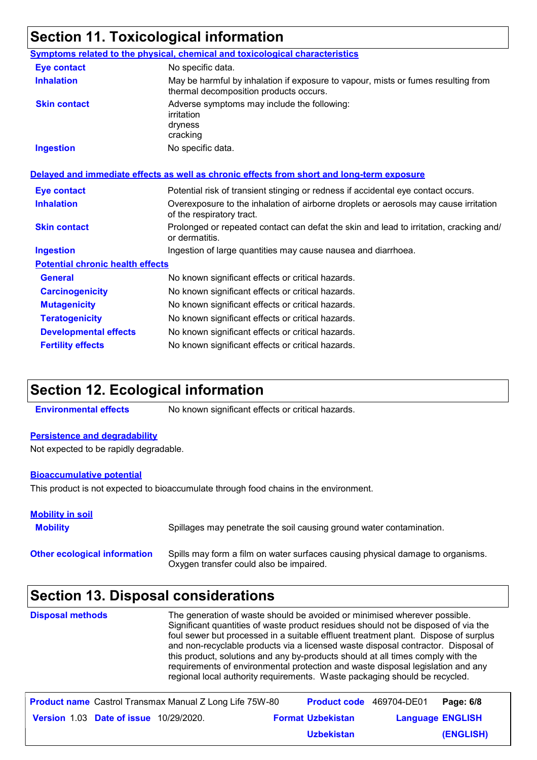# **Section 11. Toxicological information**

|                                         | Symptoms related to the physical, chemical and toxicological characteristics                                                |
|-----------------------------------------|-----------------------------------------------------------------------------------------------------------------------------|
| <b>Eye contact</b>                      | No specific data.                                                                                                           |
| <b>Inhalation</b>                       | May be harmful by inhalation if exposure to vapour, mists or fumes resulting from<br>thermal decomposition products occurs. |
| <b>Skin contact</b>                     | Adverse symptoms may include the following:<br>irritation<br>dryness<br>cracking                                            |
| <b>Ingestion</b>                        | No specific data.                                                                                                           |
|                                         | Delayed and immediate effects as well as chronic effects from short and long-term exposure                                  |
| <b>Eye contact</b>                      | Potential risk of transient stinging or redness if accidental eye contact occurs.                                           |
| <b>Inhalation</b>                       | Overexposure to the inhalation of airborne droplets or aerosols may cause irritation<br>of the respiratory tract.           |
| <b>Skin contact</b>                     | Prolonged or repeated contact can defat the skin and lead to irritation, cracking and/<br>or dermatitis.                    |
| <b>Ingestion</b>                        | Ingestion of large quantities may cause nausea and diarrhoea.                                                               |
| <b>Potential chronic health effects</b> |                                                                                                                             |
| <b>General</b>                          | No known significant effects or critical hazards.                                                                           |
| <b>Carcinogenicity</b>                  | No known significant effects or critical hazards.                                                                           |
| <b>Mutagenicity</b>                     | No known significant effects or critical hazards.                                                                           |
| <b>Teratogenicity</b>                   | No known significant effects or critical hazards.                                                                           |
| <b>Developmental effects</b>            | No known significant effects or critical hazards.                                                                           |
| <b>Fertility effects</b>                | No known significant effects or critical hazards.                                                                           |

### **Section 12. Ecological information**

**Environmental effects** No known significant effects or critical hazards.

#### **Persistence and degradability**

Not expected to be rapidly degradable.

#### **Bioaccumulative potential**

This product is not expected to bioaccumulate through food chains in the environment.

| <b>Mobility in soil</b><br><b>Mobility</b> | Spillages may penetrate the soil causing ground water contamination.                                                      |
|--------------------------------------------|---------------------------------------------------------------------------------------------------------------------------|
| <b>Other ecological information</b>        | Spills may form a film on water surfaces causing physical damage to organisms.<br>Oxygen transfer could also be impaired. |

# **Section 13. Disposal considerations**

| <b>Disposal methods</b> | The generation of waste should be avoided or minimised wherever possible.<br>Significant quantities of waste product residues should not be disposed of via the<br>foul sewer but processed in a suitable effluent treatment plant. Dispose of surplus<br>and non-recyclable products via a licensed waste disposal contractor. Disposal of<br>this product, solutions and any by-products should at all times comply with the<br>requirements of environmental protection and waste disposal legislation and any<br>regional local authority requirements. Waste packaging should be recycled. |
|-------------------------|-------------------------------------------------------------------------------------------------------------------------------------------------------------------------------------------------------------------------------------------------------------------------------------------------------------------------------------------------------------------------------------------------------------------------------------------------------------------------------------------------------------------------------------------------------------------------------------------------|
|                         |                                                                                                                                                                                                                                                                                                                                                                                                                                                                                                                                                                                                 |

|                                               | <b>Product name</b> Castrol Transmax Manual Z Long Life 75W-80 | Product code 469704-DE01 |                         | Page: 6/8 |
|-----------------------------------------------|----------------------------------------------------------------|--------------------------|-------------------------|-----------|
| <b>Version 1.03 Date of issue 10/29/2020.</b> |                                                                | <b>Format Uzbekistan</b> | <b>Language ENGLISH</b> |           |
|                                               |                                                                | <b>Uzbekistan</b>        |                         | (ENGLISH) |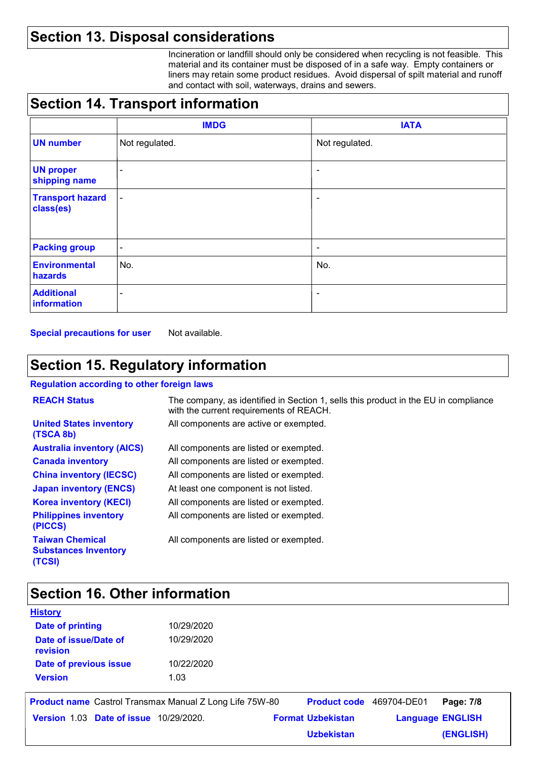# **Section 13. Disposal considerations**

Incineration or landfill should only be considered when recycling is not feasible. This material and its container must be disposed of in a safe way. Empty containers or liners may retain some product residues. Avoid dispersal of spilt material and runoff and contact with soil, waterways, drains and sewers.

# **Section 14. Transport information**

|                                      | <b>IMDG</b>              | <b>IATA</b>              |
|--------------------------------------|--------------------------|--------------------------|
| <b>UN number</b>                     | Not regulated.           | Not regulated.           |
| <b>UN proper</b><br>shipping name    | $\overline{\phantom{a}}$ | $\overline{\phantom{a}}$ |
| <b>Transport hazard</b><br>class(es) | $\overline{\phantom{a}}$ | $\overline{\phantom{a}}$ |
| <b>Packing group</b>                 | $\overline{\phantom{a}}$ | $\overline{\phantom{a}}$ |
| <b>Environmental</b><br>hazards      | No.                      | No.                      |
| <b>Additional</b><br>information     | ٠                        | $\overline{\phantom{a}}$ |

**Special precautions for user** Not available.

# **Section 15. Regulatory information**

#### **Regulation according to other foreign laws**

| <b>REACH Status</b>                                             | The company, as identified in Section 1, sells this product in the EU in compliance<br>with the current requirements of REACH. |
|-----------------------------------------------------------------|--------------------------------------------------------------------------------------------------------------------------------|
| <b>United States inventory</b><br>(TSCA 8b)                     | All components are active or exempted.                                                                                         |
| <b>Australia inventory (AICS)</b>                               | All components are listed or exempted.                                                                                         |
| <b>Canada inventory</b>                                         | All components are listed or exempted.                                                                                         |
| <b>China inventory (IECSC)</b>                                  | All components are listed or exempted.                                                                                         |
| <b>Japan inventory (ENCS)</b>                                   | At least one component is not listed.                                                                                          |
| <b>Korea inventory (KECI)</b>                                   | All components are listed or exempted.                                                                                         |
| <b>Philippines inventory</b><br>(PICCS)                         | All components are listed or exempted.                                                                                         |
| <b>Taiwan Chemical</b><br><b>Substances Inventory</b><br>(TCSI) | All components are listed or exempted.                                                                                         |

### **Section 16. Other information**

| 10/29/2020 |  |
|------------|--|
| 10/29/2020 |  |
| 10/22/2020 |  |
| 1.03       |  |
|            |  |

|                                               | <b>Product name</b> Castrol Transmax Manual Z Long Life 75W-80 | <b>Product code</b> 469704-DE01 |                         | Page: 7/8 |
|-----------------------------------------------|----------------------------------------------------------------|---------------------------------|-------------------------|-----------|
| <b>Version 1.03 Date of issue 10/29/2020.</b> |                                                                | <b>Format Uzbekistan</b>        | <b>Language ENGLISH</b> |           |
|                                               |                                                                | <b>Uzbekistan</b>               |                         | (ENGLISH) |